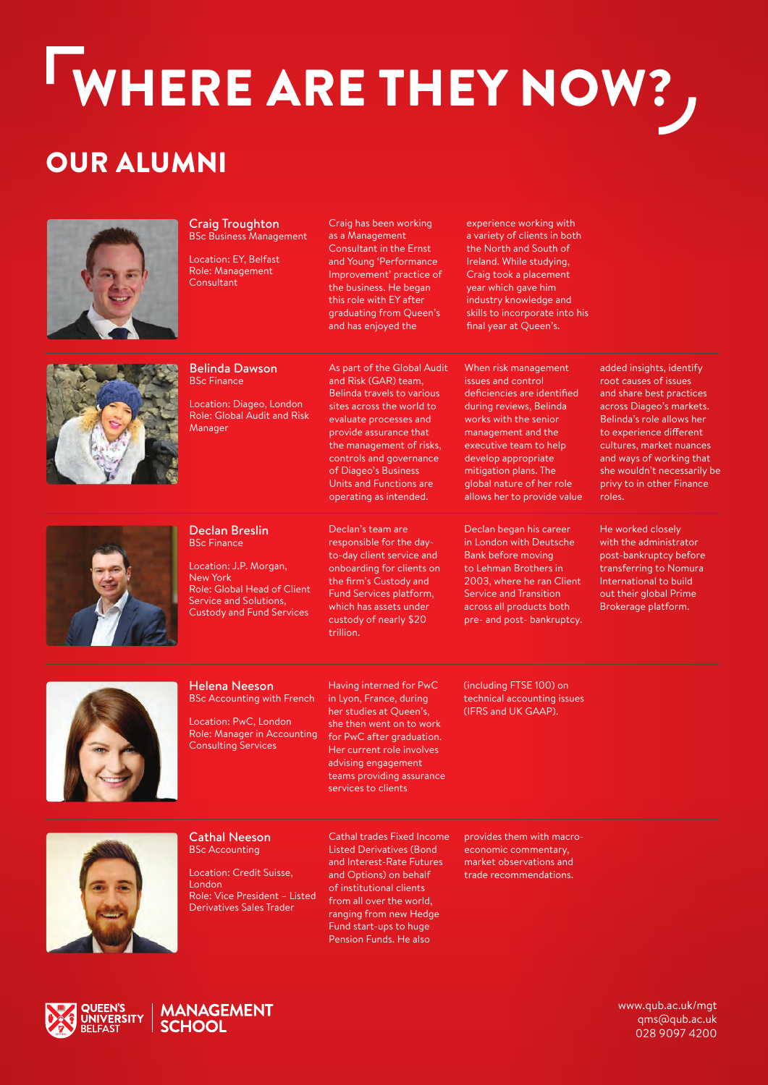# WHERE ARE THEY NOW? OUR ALUMNI



Craig Troughton BSc Business Management Location: EY, Belfast Role: Management Consultant

Craig has been working as a Management Consultant in the Ernst and Young 'Performance Improvement' practice of the business. He began this role with EY after graduating from Queen's and has enjoyed the

experience working with a variety of clients in both the North and South of Ireland. While studying, Craig took a placement year which gave him industry knowledge and skills to incorporate into his final year at Queen's.



### Belinda Dawson BSc Finance

Location: Diageo, London Role: Global Audit and Risk Manager

As part of the Global Audit and Risk (GAR) team, Belinda travels to various sites across the world to evaluate processes and provide assurance that .<br>the management of risks, controls and governance of Diageo's Business Units and Functions are operating as intended.

When risk management issues and control deficiencies are identified during reviews, Belinda works with the senior management and the executive team to help develop appropriate mitigation plans. The global nature of her role allows her to provide value

Declan began his career in London with Deutsche Bank before moving to Lehman Brothers in 2003, where he ran Client Service and Transition across all products both pre- and post- bankruptcy.

added insights, identify root causes of issues and share best practices across Diageo's markets. Belinda's role allows her to experience different cultures, market nuances and ways of working that she wouldn't necessarily be privy to in other Finance roles.



#### Declan Breslin BSc Finance

Location: J.P. Morgan, New York Role: Global Head of Client Service and Solutions, Custody and Fund Services

Declan's team are responsible for the dayto-day client service and onboarding for clients on the firm's Custody and Fund Services platform, which has assets under custody of nearly \$20 trillion.

(including FTSE 100) on

He worked closely with the administrator post-bankruptcy before transferring to Nomura International to build out their global Prime Brokerage platform.



### Helena Neeson BSc Accounting with French

Location: PwC, London Role: Manager in Accounting Consulting Services

Having interned for PwC in Lyon, France, during her studies at Queen's, she then went on to work for PwC after graduation. Her current role involves advising engagement teams providing assurance services to clients

technical accounting issues (IFRS and UK GAAP).

provides them with macroeconomic commentary, market observations and trade recommendations.



Cathal Neeson BSc Accounting

Location: Credit Suisse, London Role: Vice President – Listed Derivatives Sales Trader

Cathal trades Fixed Income Listed Derivatives (Bond and Interest-Rate Futures and Options) on behalf of institutional clients from all over the world, ranging from new Hedge Fund start-ups to huge Pension Funds. He also





[www.qub.ac.uk/mgt](http://www.qub.ac.uk/mgt) [qms@qub.ac.uk](mailto:qms@qub.ac.uk) 028 9097 4200